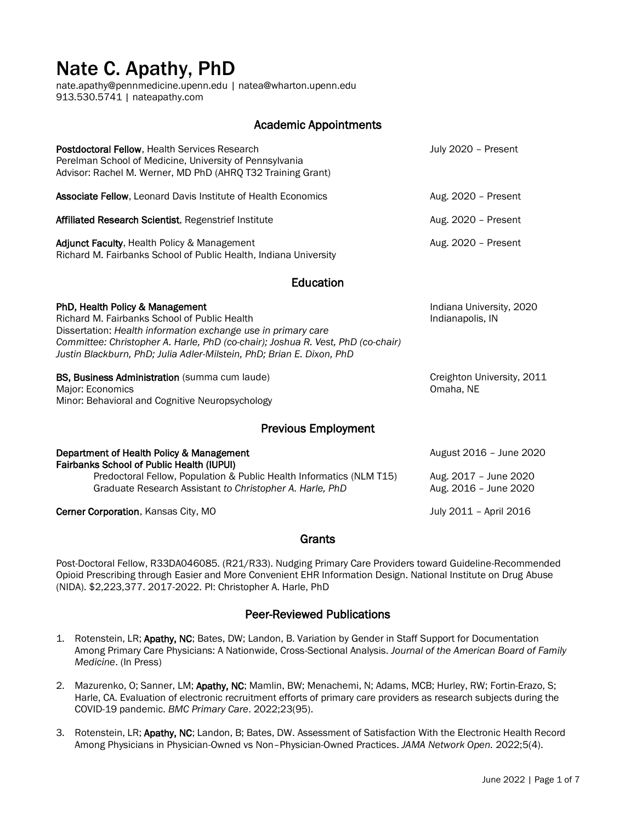# Nate C. Apathy, PhD

[nate.apathy@pennmedicine.upenn.edu](mailto:nate.apathy@pennmedicine.upenn.edu) [| natea@wharton.upenn.edu](mailto:natea@wharton.upenn.edu) 913.530.5741 | [nateapathy.com](http://www.nateapathy.com/)

## Academic Appointments

| <b>Postdoctoral Fellow. Health Services Research</b><br>Perelman School of Medicine, University of Pennsylvania<br>Advisor: Rachel M. Werner, MD PhD (AHRQ T32 Training Grant)                                                                                                                               | July 2020 - Present                                                       |  |  |
|--------------------------------------------------------------------------------------------------------------------------------------------------------------------------------------------------------------------------------------------------------------------------------------------------------------|---------------------------------------------------------------------------|--|--|
| <b>Associate Fellow, Leonard Davis Institute of Health Economics</b>                                                                                                                                                                                                                                         | Aug. 2020 - Present                                                       |  |  |
| Affiliated Research Scientist, Regenstrief Institute                                                                                                                                                                                                                                                         | Aug. 2020 - Present                                                       |  |  |
| Adjunct Faculty, Health Policy & Management<br>Richard M. Fairbanks School of Public Health, Indiana University                                                                                                                                                                                              | Aug. 2020 - Present                                                       |  |  |
| Education                                                                                                                                                                                                                                                                                                    |                                                                           |  |  |
| PhD, Health Policy & Management<br>Richard M. Fairbanks School of Public Health<br>Dissertation: Health information exchange use in primary care<br>Committee: Christopher A. Harle, PhD (co-chair); Joshua R. Vest, PhD (co-chair)<br>Justin Blackburn, PhD; Julia Adler-Milstein, PhD; Brian E. Dixon, PhD | Indiana University, 2020<br>Indianapolis, IN                              |  |  |
| <b>BS, Business Administration</b> (summa cum laude)<br>Major: Economics<br>Minor: Behavioral and Cognitive Neuropsychology                                                                                                                                                                                  | Creighton University, 2011<br>Omaha, NE                                   |  |  |
| <b>Previous Employment</b>                                                                                                                                                                                                                                                                                   |                                                                           |  |  |
| Department of Health Policy & Management<br><b>Fairbanks School of Public Health (IUPUI)</b><br>Predoctoral Fellow, Population & Public Health Informatics (NLM T15)<br>Graduate Research Assistant to Christopher A. Harle, PhD                                                                             | August 2016 - June 2020<br>Aug. 2017 - June 2020<br>Aug. 2016 - June 2020 |  |  |

Cerner Corporation, Kansas City, MO **Gerner Corporation, Kansas City, MO** July 2011 – April 2016

#### **Grants**

Post-Doctoral Fellow, R33DA046085. (R21/R33). Nudging Primary Care Providers toward Guideline-Recommended Opioid Prescribing through Easier and More Convenient EHR Information Design. National Institute on Drug Abuse (NIDA). \$2,223,377. 2017-2022. PI: Christopher A. Harle, PhD

#### Peer-Reviewed Publications

- 1. Rotenstein, LR; Apathy, NC; Bates, DW; Landon, B. Variation by Gender in Staff Support for Documentation Among Primary Care Physicians: A Nationwide, Cross-Sectional Analysis. *Journal of the American Board of Family Medicine*. (In Press)
- 2. Mazurenko, O; Sanner, LM; Apathy, NC; Mamlin, BW; Menachemi, N; Adams, MCB; Hurley, RW; Fortin-Erazo, S; Harle, CA. Evaluation of electronic recruitment efforts of primary care providers as research subjects during the COVID-19 pandemic. *BMC Primary Care*. 2022;23(95).
- 3. Rotenstein, LR; Apathy, NC; Landon, B; Bates, DW. Assessment of Satisfaction With the Electronic Health Record Among Physicians in Physician-Owned vs Non–Physician-Owned Practices. *JAMA Network Open.* 2022;5(4).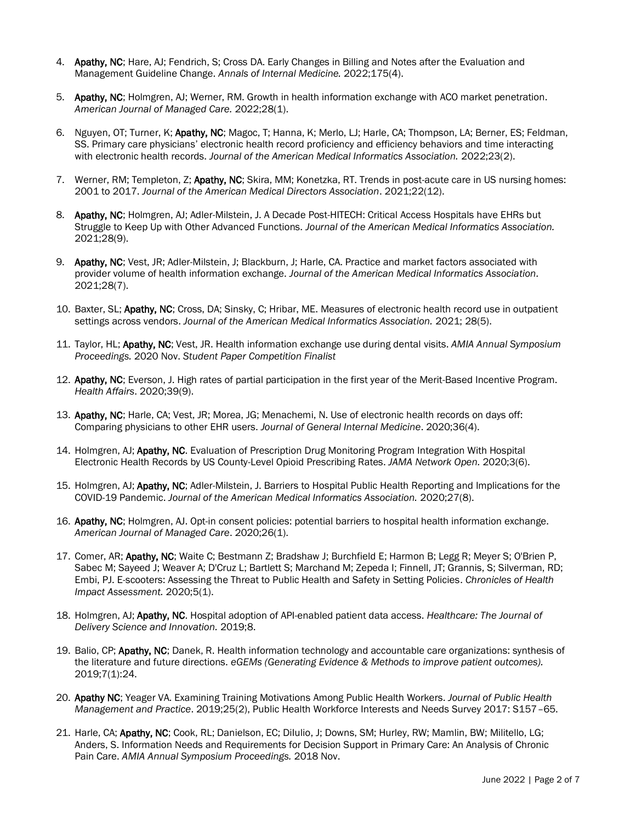- 4. Apathy, NC; Hare, AJ; Fendrich, S; Cross DA. Early Changes in Billing and Notes after the Evaluation and Management Guideline Change. *Annals of Internal Medicine.* 2022;175(4).
- 5. Apathy, NC; Holmgren, AJ; Werner, RM. Growth in health information exchange with ACO market penetration. *American Journal of Managed Care.* 2022;28(1).
- 6. Nguyen, OT; Turner, K; Apathy, NC; Magoc, T; Hanna, K; Merlo, LJ; Harle, CA; Thompson, LA; Berner, ES; Feldman, SS. Primary care physicians' electronic health record proficiency and efficiency behaviors and time interacting with electronic health records. *Journal of the American Medical Informatics Association.* 2022;23(2).
- 7. Werner, RM; Templeton, Z; Apathy, NC; Skira, MM; Konetzka, RT. Trends in post-acute care in US nursing homes: 2001 to 2017. *Journal of the American Medical Directors Association*. 2021;22(12).
- 8. Apathy, NC; Holmgren, AJ; Adler-Milstein, J. A Decade Post-HITECH: Critical Access Hospitals have EHRs but Struggle to Keep Up with Other Advanced Functions. *Journal of the American Medical Informatics Association.*  2021;28(9).
- 9. Apathy, NC; Vest, JR; Adler-Milstein, J; Blackburn, J; Harle, CA. Practice and market factors associated with provider volume of health information exchange. *Journal of the American Medical Informatics Association.* 2021;28(7).
- 10. Baxter, SL; Apathy, NC; Cross, DA; Sinsky, C; Hribar, ME. Measures of electronic health record use in outpatient settings across vendors. *Journal of the American Medical Informatics Association.* 2021; 28(5).
- 11. Taylor, HL; Apathy, NC; Vest, JR. Health information exchange use during dental visits. *AMIA Annual Symposium Proceedings.* 2020 Nov. *Student Paper Competition Finalist*
- 12. Apathy, NC; Everson, J. High rates of partial participation in the first year of the Merit-Based Incentive Program. *Health Affairs*. 2020;39(9).
- 13. Apathy, NC; Harle, CA; Vest, JR; Morea, JG; Menachemi, N. Use of electronic health records on days off: Comparing physicians to other EHR users. *Journal of General Internal Medicine*. 2020;36(4).
- 14. Holmgren, AJ; Apathy, NC. Evaluation of Prescription Drug Monitoring Program Integration With Hospital Electronic Health Records by US County-Level Opioid Prescribing Rates. *JAMA Network Open.* 2020;3(6).
- 15. Holmgren, AJ; Apathy, NC; Adler-Milstein, J. Barriers to Hospital Public Health Reporting and Implications for the COVID-19 Pandemic. *Journal of the American Medical Informatics Association.* 2020;27(8).
- 16. Apathy, NC; Holmgren, AJ. Opt-in consent policies: potential barriers to hospital health information exchange. *American Journal of Managed Care*. 2020;26(1).
- 17. Comer, AR; Apathy, NC; Waite C; Bestmann Z; Bradshaw J; Burchfield E; Harmon B; Legg R; Meyer S; O'Brien P, Sabec M; Sayeed J; Weaver A; D'Cruz L; Bartlett S; Marchand M; Zepeda I; Finnell, JT; Grannis, S; Silverman, RD; Embi, PJ. E-scooters: Assessing the Threat to Public Health and Safety in Setting Policies. *Chronicles of Health Impact Assessment.* 2020;5(1).
- 18. Holmgren, AJ; Apathy, NC. Hospital adoption of API-enabled patient data access. *Healthcare: The Journal of Delivery Science and Innovation.* 2019;8.
- 19. Balio, CP; Apathy, NC; Danek, R. Health information technology and accountable care organizations: synthesis of the literature and future directions. *eGEMs (Generating Evidence & Methods to improve patient outcomes).* 2019;7(1):24.
- 20. Apathy NC; Yeager VA. Examining Training Motivations Among Public Health Workers. *Journal of Public Health Management and Practice*. 2019;25(2), Public Health Workforce Interests and Needs Survey 2017: S157–65.
- 21. Harle, CA; Apathy, NC; Cook, RL; Danielson, EC; Dilulio, J; Downs, SM; Hurley, RW; Mamlin, BW; Militello, LG; Anders, S. Information Needs and Requirements for Decision Support in Primary Care: An Analysis of Chronic Pain Care. *AMIA Annual Symposium Proceedings.* 2018 Nov.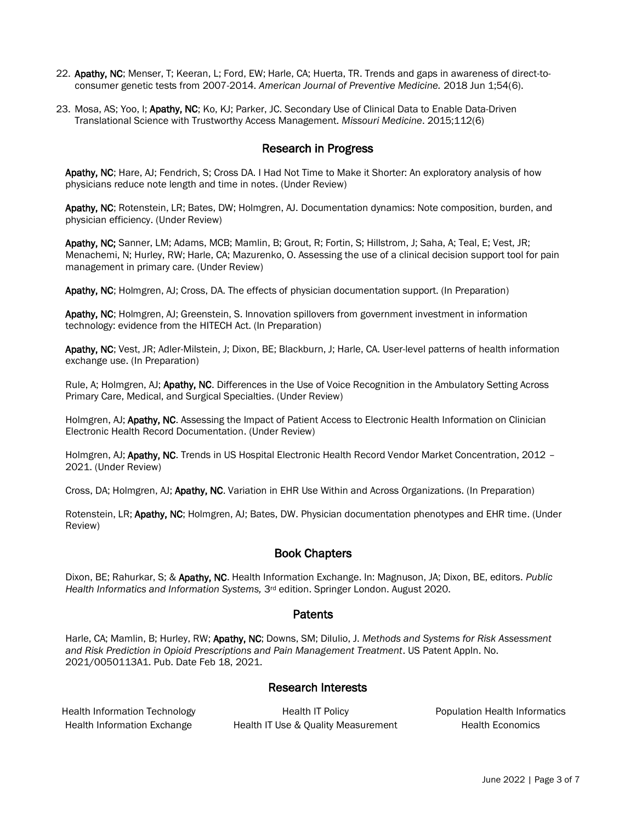- 22. Apathy, NC; Menser, T; Keeran, L; Ford, EW; Harle, CA; Huerta, TR. Trends and gaps in awareness of direct-toconsumer genetic tests from 2007-2014. *American Journal of Preventive Medicine.* 2018 Jun 1;54(6).
- 23. Mosa, AS; Yoo, I; Apathy, NC; Ko, KJ; Parker, JC. Secondary Use of Clinical Data to Enable Data-Driven Translational Science with Trustworthy Access Management. *Missouri Medicine*. 2015;112(6)

## Research in Progress

Apathy, NC; Hare, AJ; Fendrich, S; Cross DA. I Had Not Time to Make it Shorter: An exploratory analysis of how physicians reduce note length and time in notes. (Under Review)

Apathy, NC; Rotenstein, LR; Bates, DW; Holmgren, AJ. Documentation dynamics: Note composition, burden, and physician efficiency. (Under Review)

Apathy, NC; Sanner, LM; Adams, MCB; Mamlin, B; Grout, R; Fortin, S; Hillstrom, J; Saha, A; Teal, E; Vest, JR; Menachemi, N; Hurley, RW; Harle, CA; Mazurenko, O. Assessing the use of a clinical decision support tool for pain management in primary care. (Under Review)

Apathy, NC; Holmgren, AJ; Cross, DA. The effects of physician documentation support. (In Preparation)

Apathy, NC; Holmgren, AJ; Greenstein, S. Innovation spillovers from government investment in information technology: evidence from the HITECH Act. (In Preparation)

Apathy, NC; Vest, JR; Adler-Milstein, J; Dixon, BE; Blackburn, J; Harle, CA. User-level patterns of health information exchange use. (In Preparation)

Rule, A; Holmgren, AJ; Apathy, NC. Differences in the Use of Voice Recognition in the Ambulatory Setting Across Primary Care, Medical, and Surgical Specialties. (Under Review)

Holmgren, AJ; Apathy, NC. Assessing the Impact of Patient Access to Electronic Health Information on Clinician Electronic Health Record Documentation. (Under Review)

Holmgren, AJ; Apathy, NC. Trends in US Hospital Electronic Health Record Vendor Market Concentration, 2012 -2021. (Under Review)

Cross, DA; Holmgren, AJ; Apathy, NC. Variation in EHR Use Within and Across Organizations. (In Preparation)

Rotenstein, LR; Apathy, NC; Holmgren, AJ; Bates, DW. Physician documentation phenotypes and EHR time. (Under Review)

#### Book Chapters

Dixon, BE; Rahurkar, S; & Apathy, NC. Health Information Exchange. In: Magnuson, JA; Dixon, BE, editors. *Public*  Health Informatics and Information Systems, 3<sup>rd</sup> edition. Springer London. August 2020.

#### **Patents**

Harle, CA; Mamlin, B; Hurley, RW; Apathy, NC; Downs, SM; DiIulio, J. *Methods and Systems for Risk Assessment and Risk Prediction in Opioid Prescriptions and Pain Management Treatment*. US Patent Appln. No. 2021/0050113A1. Pub. Date Feb 18, 2021.

#### Research Interests

Health Information Technology **Health IT Policy Communisty Population Health Informatics** Health Information Exchange Health IT Use & Quality Measurement Health Economics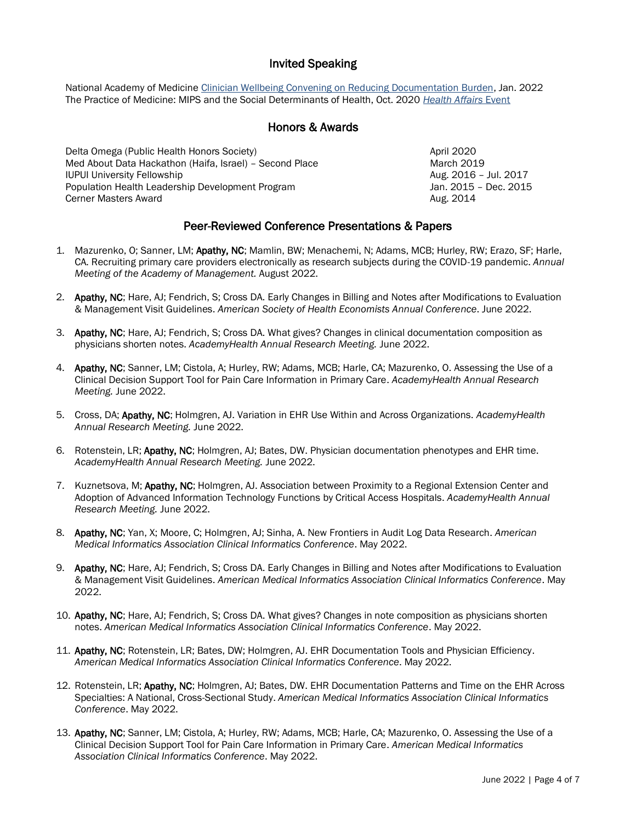## Invited Speaking

National Academy of Medicine [Clinician Wellbeing Convening on Reducing Documentation Burden,](https://nam.edu/event/reducing-documentation-administrative-burden-for-clinician-well-being/) Jan. 2022 The Practice of Medicine: MIPS and the Social Determinants of Health, Oct. 2020 *[Health Affairs](https://www.healthaffairs.org/do/10.1377/he20201013.694857/full/)* Event

## Honors & Awards

Delta Omega (Public Health Honors Society) and the Communication of the April 2020 Med About Data Hackathon (Haifa, Israel) – Second Place March 2019 March 2019 IUPUI University Fellowship **Aug. 2016** – Jul. 2017 Population Health Leadership Development Program Jan. 2015 – Dec. 2015 **Cerner Masters Award Aug. 2014 Aug. 2014** 

# Peer-Reviewed Conference Presentations & Papers

- 1. Mazurenko, O; Sanner, LM; Apathy, NC; Mamlin, BW; Menachemi, N; Adams, MCB; Hurley, RW; Erazo, SF; Harle, CA. Recruiting primary care providers electronically as research subjects during the COVID-19 pandemic. *Annual Meeting of the Academy of Management.* August 2022.
- 2. Apathy, NC; Hare, AJ; Fendrich, S; Cross DA. Early Changes in Billing and Notes after Modifications to Evaluation & Management Visit Guidelines. *American Society of Health Economists Annual Conference*. June 2022.
- 3. Apathy, NC; Hare, AJ; Fendrich, S; Cross DA. What gives? Changes in clinical documentation composition as physicians shorten notes. *AcademyHealth Annual Research Meeting.* June 2022.
- 4. Apathy, NC; Sanner, LM; Cistola, A; Hurley, RW; Adams, MCB; Harle, CA; Mazurenko, O. Assessing the Use of a Clinical Decision Support Tool for Pain Care Information in Primary Care. *AcademyHealth Annual Research Meeting.* June 2022.
- 5. Cross, DA; Apathy, NC; Holmgren, AJ. Variation in EHR Use Within and Across Organizations. *AcademyHealth Annual Research Meeting.* June 2022.
- 6. Rotenstein, LR; Apathy, NC; Holmgren, AJ; Bates, DW. Physician documentation phenotypes and EHR time. *AcademyHealth Annual Research Meeting.* June 2022.
- 7. Kuznetsova, M; Apathy, NC; Holmgren, AJ. Association between Proximity to a Regional Extension Center and Adoption of Advanced Information Technology Functions by Critical Access Hospitals. *AcademyHealth Annual Research Meeting.* June 2022.
- 8. Apathy, NC; Yan, X; Moore, C; Holmgren, AJ; Sinha, A. New Frontiers in Audit Log Data Research. *American Medical Informatics Association Clinical Informatics Conference*. May 2022.
- 9. Apathy, NC; Hare, AJ; Fendrich, S; Cross DA. Early Changes in Billing and Notes after Modifications to Evaluation & Management Visit Guidelines. *American Medical Informatics Association Clinical Informatics Conference*. May 2022.
- 10. Apathy, NC; Hare, AJ; Fendrich, S; Cross DA. What gives? Changes in note composition as physicians shorten notes. *American Medical Informatics Association Clinical Informatics Conference*. May 2022.
- 11. Apathy, NC; Rotenstein, LR; Bates, DW; Holmgren, AJ. EHR Documentation Tools and Physician Efficiency. *American Medical Informatics Association Clinical Informatics Conference*. May 2022.
- 12. Rotenstein, LR; Apathy, NC; Holmgren, AJ; Bates, DW. EHR Documentation Patterns and Time on the EHR Across Specialties: A National, Cross-Sectional Study. *American Medical Informatics Association Clinical Informatics Conference*. May 2022.
- 13. Apathy, NC; Sanner, LM; Cistola, A; Hurley, RW; Adams, MCB; Harle, CA; Mazurenko, O. Assessing the Use of a Clinical Decision Support Tool for Pain Care Information in Primary Care. *American Medical Informatics Association Clinical Informatics Conference*. May 2022.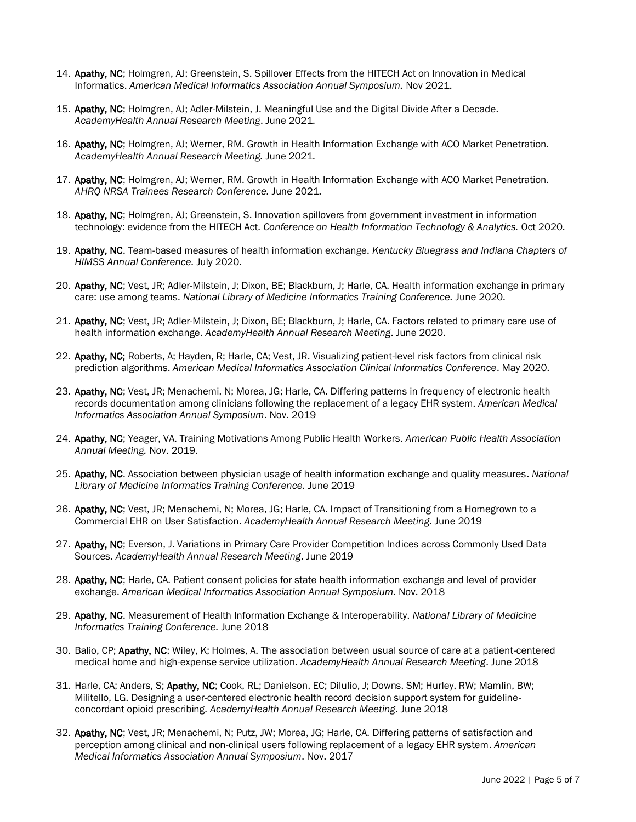- 14. Apathy, NC; Holmgren, AJ; Greenstein, S. Spillover Effects from the HITECH Act on Innovation in Medical Informatics. *American Medical Informatics Association Annual Symposium.* Nov 2021.
- 15. Apathy, NC; Holmgren, AJ; Adler-Milstein, J. Meaningful Use and the Digital Divide After a Decade. *AcademyHealth Annual Research Meeting*. June 2021.
- 16. Apathy, NC; Holmgren, AJ; Werner, RM. Growth in Health Information Exchange with ACO Market Penetration. *AcademyHealth Annual Research Meeting.* June 2021.
- 17. Apathy, NC; Holmgren, AJ; Werner, RM. Growth in Health Information Exchange with ACO Market Penetration. *AHRQ NRSA Trainees Research Conference.* June 2021.
- 18. Apathy, NC; Holmgren, AJ; Greenstein, S. Innovation spillovers from government investment in information technology: evidence from the HITECH Act. *Conference on Health Information Technology & Analytics.* Oct 2020.
- 19. Apathy, NC. Team-based measures of health information exchange. *Kentucky Bluegrass and Indiana Chapters of HIMSS Annual Conference.* July 2020.
- 20. Apathy, NC; Vest, JR; Adler-Milstein, J; Dixon, BE; Blackburn, J; Harle, CA. Health information exchange in primary care: use among teams. *National Library of Medicine Informatics Training Conference.* June 2020.
- 21. Apathy, NC; Vest, JR; Adler-Milstein, J; Dixon, BE; Blackburn, J; Harle, CA. Factors related to primary care use of health information exchange. *AcademyHealth Annual Research Meeting*. June 2020.
- 22. Apathy, NC; Roberts, A; Hayden, R; Harle, CA; Vest, JR, Visualizing patient-level risk factors from clinical risk prediction algorithms. *American Medical Informatics Association Clinical Informatics Conference*. May 2020.
- 23. Apathy, NC; Vest, JR; Menachemi, N; Morea, JG; Harle, CA. Differing patterns in frequency of electronic health records documentation among clinicians following the replacement of a legacy EHR system. *American Medical Informatics Association Annual Symposium*. Nov. 2019
- 24. Apathy, NC; Yeager, VA. Training Motivations Among Public Health Workers. *American Public Health Association Annual Meeting.* Nov. 2019.
- 25. Apathy, NC. Association between physician usage of health information exchange and quality measures. *National Library of Medicine Informatics Training Conference.* June 2019
- 26. Apathy, NC; Vest, JR; Menachemi, N; Morea, JG; Harle, CA. Impact of Transitioning from a Homegrown to a Commercial EHR on User Satisfaction. *AcademyHealth Annual Research Meeting*. June 2019
- 27. Apathy, NC; Everson, J. Variations in Primary Care Provider Competition Indices across Commonly Used Data Sources. *AcademyHealth Annual Research Meeting*. June 2019
- 28. Apathy, NC; Harle, CA. Patient consent policies for state health information exchange and level of provider exchange. *American Medical Informatics Association Annual Symposium*. Nov. 2018
- 29. Apathy, NC. Measurement of Health Information Exchange & Interoperability. *National Library of Medicine Informatics Training Conference.* June 2018
- 30. Balio, CP; Apathy, NC; Wiley, K; Holmes, A. The association between usual source of care at a patient-centered medical home and high-expense service utilization. *AcademyHealth Annual Research Meeting*. June 2018
- 31. Harle, CA; Anders, S; Apathy, NC; Cook, RL; Danielson, EC; DiIulio, J; Downs, SM; Hurley, RW; Mamlin, BW; Militello, LG. Designing a user-centered electronic health record decision support system for guidelineconcordant opioid prescribing. *AcademyHealth Annual Research Meeting*. June 2018
- 32. Apathy, NC; Vest, JR; Menachemi, N; Putz, JW; Morea, JG; Harle, CA. Differing patterns of satisfaction and perception among clinical and non-clinical users following replacement of a legacy EHR system. *American Medical Informatics Association Annual Symposium*. Nov. 2017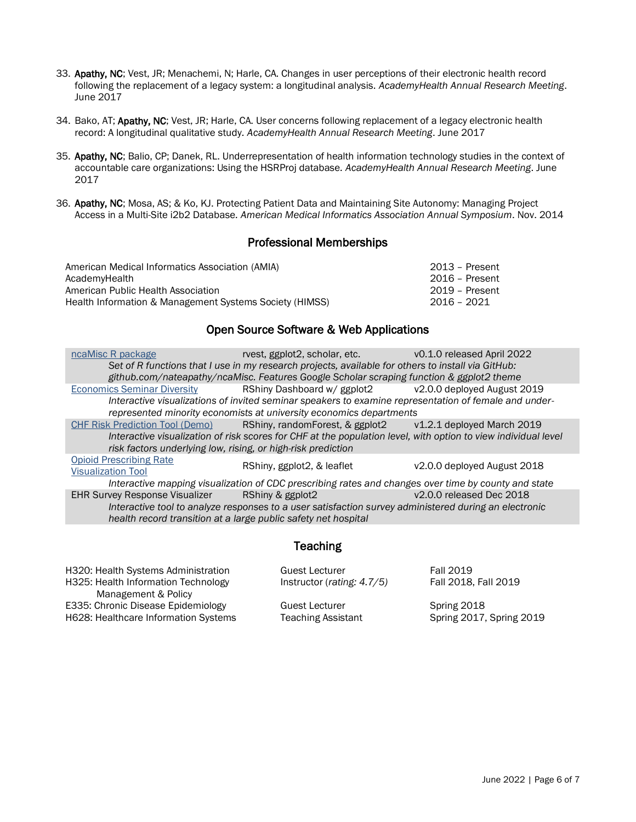- 33. Apathy, NC; Vest, JR; Menachemi, N; Harle, CA. Changes in user perceptions of their electronic health record following the replacement of a legacy system: a longitudinal analysis. *AcademyHealth Annual Research Meeting*. June 2017
- 34. Bako, AT; Apathy, NC; Vest, JR; Harle, CA. User concerns following replacement of a legacy electronic health record: A longitudinal qualitative study*. AcademyHealth Annual Research Meeting*. June 2017
- 35. Apathy, NC; Balio, CP; Danek, RL. Underrepresentation of health information technology studies in the context of accountable care organizations: Using the HSRProj database*. AcademyHealth Annual Research Meeting*. June 2017
- 36. Apathy, NC; Mosa, AS; & Ko, KJ. Protecting Patient Data and Maintaining Site Autonomy: Managing Project Access in a Multi-Site i2b2 Database*. American Medical Informatics Association Annual Symposium*. Nov. 2014

#### Professional Memberships

| American Medical Informatics Association (AMIA)         | 2013 - Present |
|---------------------------------------------------------|----------------|
| AcademyHealth                                           | 2016 – Present |
| American Public Health Association                      | 2019 - Present |
| Health Information & Management Systems Society (HIMSS) | 2016 - 2021    |

#### Open Source Software & Web Applications

| ncaMisc R package                                            | rvest, ggplot2, scholar, etc. v0.1.0 released April 2022                                                       |                             |
|--------------------------------------------------------------|----------------------------------------------------------------------------------------------------------------|-----------------------------|
|                                                              | Set of R functions that I use in my research projects, available for others to install via GitHub:             |                             |
|                                                              | github.com/nateapathy/ncaMisc. Features Google Scholar scraping function & ggplot2 theme                       |                             |
| <b>Economics Seminar Diversity</b>                           | RShiny Dashboard w/ ggplot2 v2.0.0 deployed August 2019                                                        |                             |
|                                                              | Interactive visualizations of invited seminar speakers to examine representation of female and under-          |                             |
|                                                              | represented minority economists at university economics departments                                            |                             |
|                                                              | CHF Risk Prediction Tool (Demo) RShiny, random Forest, & ggplot 2 v1.2.1 deployed March 2019                   |                             |
|                                                              | Interactive visualization of risk scores for CHF at the population level, with option to view individual level |                             |
| risk factors underlying low, rising, or high-risk prediction |                                                                                                                |                             |
| <b>Opioid Prescribing Rate</b>                               | RShiny, ggplot2, & leaflet                                                                                     | v2.0.0 deployed August 2018 |
| <b>Visualization Tool</b>                                    |                                                                                                                |                             |
|                                                              | Interactive mapping visualization of CDC prescribing rates and changes over time by county and state           |                             |
| EHR Survey Response Visualizer RShiny & ggplot2              |                                                                                                                | V2.0.0 released Dec 2018    |
|                                                              | Interactive tool to analyze responses to a user satisfaction survey administered during an electronic          |                             |
|                                                              | health record transition at a large public safety net hospital                                                 |                             |
|                                                              |                                                                                                                |                             |

#### **Teaching**

| H320: Health Systems Administration  | Guest Lecturer                | <b>Fall 2019</b>         |
|--------------------------------------|-------------------------------|--------------------------|
| H325: Health Information Technology  | Instructor (rating: $4.7/5$ ) | Fall 2018, Fall 2019     |
| Management & Policy                  |                               |                          |
| E335: Chronic Disease Epidemiology   | <b>Guest Lecturer</b>         | Spring 2018              |
| H628: Healthcare Information Systems | <b>Teaching Assistant</b>     | Spring 2017, Spring 2019 |